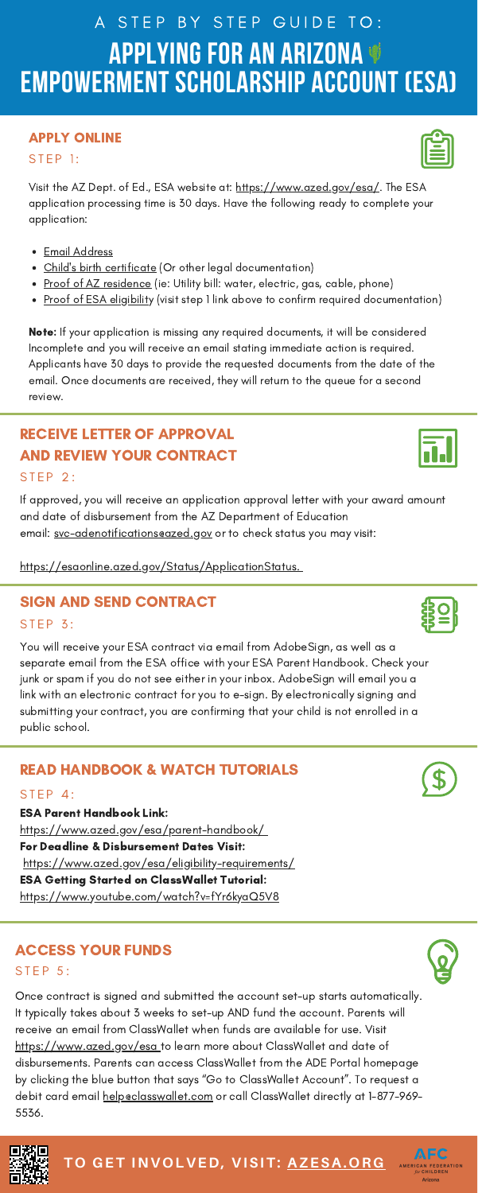Visit the AZ Dept. of Ed., ESA website at: <https://www.azed.gov/esa/>[.](https://www.youtube.com/watch?v=NybLxMXY8Ck&t=49s) The ESA application processing time is 30 days. Have the following ready to complete your application:

- Email Address
- [C](https://www.azed.gov/esa/eligibility-requirements/)hild's birth [certificate](https://www.azed.gov/esa/eligibility-requirements/) (Or other legal documentation)
- <u>[P](https://www.azed.gov/esa/eligibility-requirements/)roof of AZ [residence](https://www.azed.gov/esa/eligibility-requirements/)</u> (ie: Utility bill: water, electric, gas, cable, phone)
- [P](https://www.azed.gov/esa/eligibility-requirements/)roof of ESA [eligibilit](https://www.azed.gov/esa/eligibility-requirements/)y (visit step 1 link above to confirm required documentation)

**Note:** If your application is missing any required documents, it will be considered Incomplete and you will receive an email stating immediate action is required. Applicants have 30 days to provide the requested documents from the date of the email. Once documents are received, they will return to the queue for a second review.

If approved, you will receive an application approval letter with your award amount and date of disbursement from the AZ Department of Education email: svc-adenotifications@azed.gov or to check status you may visit:

## **APPLYING FOR AN ARIZONA EMPOWERMENT SCHOLARSHIP ACCOUNT (ESA)** A STEP BY STEP GUIDE TO:

#### APPLY ONLINE

#### $STEP$  1:

You will receive your ESA contract via email from AdobeSign, as well as a separate email from the ESA office with your ESA Parent Handbook. Check your junk or spam if you do not see either in your inbox. AdobeSign will email you a link with an electronic contract for you to e-sign. By electronically signing and submitting your contract, you are confirming that your child is not enrolled in a





public school.

https://esaonline.azed.gov/Status/ApplicationStatus.

## SIGN AND SEND CONTRACT

#### **STEP 3:**

## RECEIVE LETTER OF APPROVAL AND REVIEW YOUR CONTRACT

#### **STEP 2:**

Once contract is signed and submitted the account set-up starts automatically. It typically takes about 3 weeks to set-up AND fund the account. Parents will receive an email from ClassWallet when funds are available for use. Visit https://www.azed.gov/esa to learn more about ClassWallet and date of disbursements. Parents can access ClassWallet from the ADE Portal homepage by clicking the blue button that says "Go to ClassWallet Account". To request a debit card email helpeclasswallet.com or call ClassWallet directly at 1-877-969-5536.



## READ HANDBOOK & WATCH TUTORIALS

 $S T F P 4:$ 

## ACCESS YOUR FUNDS

 $STEP 5:$ 

**TO GET INVOLVED, VISIT: [AZESA.ORG](http://azesa.org/)**







ESA Parent Handbook Link: <https://www.azed.gov/esa/parent-handbook/> For Deadline & Disbursement Dates Visit: <https://www.azed.gov/esa/eligibility-requirements/> ESA Getting Started on ClassWallet Tutorial: https://www.youtube.com/watch?v=fYr6kyaQ5V8